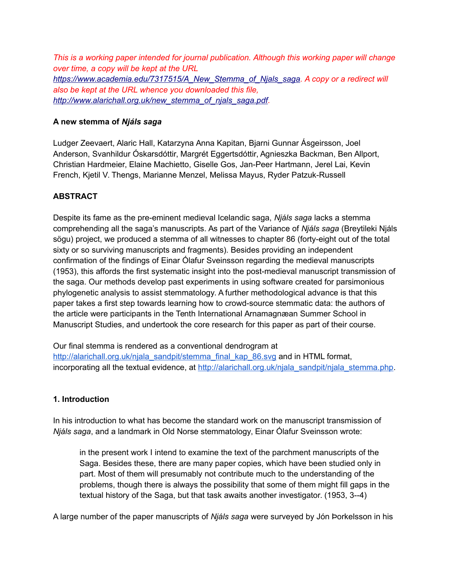*This is a working paper intended for journal publication. Although this working paper will change over time, a copy will be kept at the URL [https://www.academia.edu/7317515/A\\_New\\_Stemma\\_of\\_Njals\\_saga.](https://www.academia.edu/7317515/A_New_Stemma_of_Njals_saga) A copy or a redirect will also be kept at the URL whence you downloaded this file, [http://www.alarichall.org.uk/new\\_stemma\\_of\\_njals\\_saga.pdf.](http://www.alarichall.org.uk/new_stemma_of_njals_saga.pdf)*

### **A new stemma of** *Njáls saga*

Ludger Zeevaert, Alaric Hall, Katarzyna Anna Kapitan, Bjarni Gunnar Ásgeirsson, Joel Anderson, Svanhildur Óskarsdóttir, Margrét Eggertsdóttir, Agnieszka Backman, Ben Allport, Christian Hardmeier, Elaine Machietto, Giselle Gos, Jan-Peer Hartmann, Jerel Lai, Kevin French, Kjetil V. Thengs, Marianne Menzel, Melissa Mayus, Ryder Patzuk-Russell

# **ABSTRACT**

Despite its fame as the pre-eminent medieval Icelandic saga, *Njáls saga* lacks a stemma comprehending all the saga's manuscripts. As part of the Variance of *Njáls saga* (Breytileki Njáls sögu) project, we produced a stemma of all witnesses to chapter 86 (forty-eight out of the total sixty or so surviving manuscripts and fragments). Besides providing an independent confirmation of the findings of Einar Ólafur Sveinsson regarding the medieval manuscripts (1953), this affords the first systematic insight into the post-medieval manuscript transmission of the saga. Our methods develop past experiments in using software created for parsimonious phylogenetic analysis to assist stemmatology. A further methodological advance is that this paper takes a first step towards learning how to crowd-source stemmatic data: the authors of the article were participants in the Tenth International Arnamagnæan Summer School in Manuscript Studies, and undertook the core research for this paper as part of their course.

Our final stemma is rendered as a conventional dendrogram at [http://alarichall.org.uk/njala\\_sandpit/stemma\\_final\\_kap\\_86.svg](http://alarichall.org.uk/njala_sandpit/stemma_final_kap_86.svg) and in HTML format, incorporating all the textual evidence, at [http://alarichall.org.uk/njala\\_sandpit/njala\\_stemma.php.](http://alarichall.org.uk/njala_sandpit/njala_stemma.php)

### **1. Introduction**

In his introduction to what has become the standard work on the manuscript transmission of *Njáls saga*, and a landmark in Old Norse stemmatology, Einar Ólafur Sveinsson wrote:

in the present work I intend to examine the text of the parchment manuscripts of the Saga. Besides these, there are many paper copies, which have been studied only in part. Most of them will presumably not contribute much to the understanding of the problems, though there is always the possibility that some of them might fill gaps in the textual history of the Saga, but that task awaits another investigator. (1953, 3--4)

A large number of the paper manuscripts of *Njáls saga* were surveyed by Jón Þorkelsson in his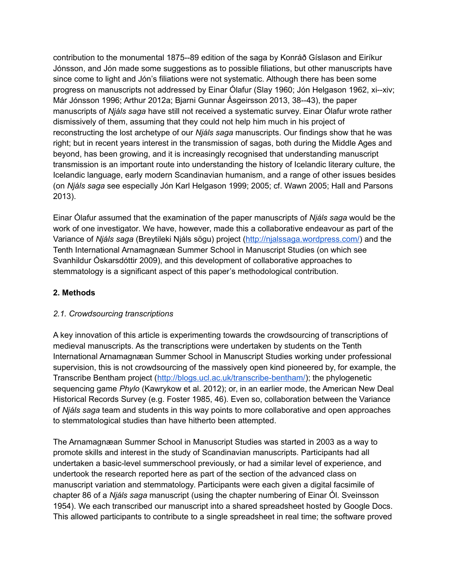contribution to the monumental 1875--89 edition of the saga by Konráð Gíslason and Eiríkur Jónsson, and Jón made some suggestions as to possible filiations, but other manuscripts have since come to light and Jón's filiations were not systematic. Although there has been some progress on manuscripts not addressed by Einar Ólafur (Slay 1960; Jón Helgason 1962, xi--xiv; Már Jónsson 1996; Arthur 2012a; Bjarni Gunnar Ásgeirsson 2013, 38--43), the paper manuscripts of *Njáls saga* have still not received a systematic survey. Einar Ólafur wrote rather dismissively of them, assuming that they could not help him much in his project of reconstructing the lost archetype of our *Njáls saga* manuscripts. Our findings show that he was right; but in recent years interest in the transmission of sagas, both during the Middle Ages and beyond, has been growing, and it is increasingly recognised that understanding manuscript transmission is an important route into understanding the history of Icelandic literary culture, the Icelandic language, early modern Scandinavian humanism, and a range of other issues besides (on *Njáls saga* see especially Jón Karl Helgason 1999; 2005; cf. Wawn 2005; Hall and Parsons 2013).

Einar Ólafur assumed that the examination of the paper manuscripts of *Njáls saga* would be the work of one investigator. We have, however, made this a collaborative endeavour as part of the Variance of *Njáls saga* (Breytileki Njáls sögu) project [\(http://njalssaga.wordpress.com/\)](http://njalssaga.wordpress.com/) and the Tenth International Arnamagnæan Summer School in Manuscript Studies (on which see Svanhildur Óskarsdóttir 2009), and this development of collaborative approaches to stemmatology is a significant aspect of this paper's methodological contribution.

# **2. Methods**

### *2.1. Crowdsourcing transcriptions*

A key innovation of this article is experimenting towards the crowdsourcing of transcriptions of medieval manuscripts. As the transcriptions were undertaken by students on the Tenth International Arnamagnæan Summer School in Manuscript Studies working under professional supervision, this is not crowdsourcing of the massively open kind pioneered by, for example, the Transcribe Bentham project [\(http://blogs.ucl.ac.uk/transcribe-bentham/\)](http://blogs.ucl.ac.uk/transcribe-bentham/); the phylogenetic sequencing game *Phylo* (Kawrykow et al. 2012); or, in an earlier mode, the American New Deal Historical Records Survey (e.g. Foster 1985, 46). Even so, collaboration between the Variance of *Njáls saga* team and students in this way points to more collaborative and open approaches to stemmatological studies than have hitherto been attempted.

The Arnamagnæan Summer School in Manuscript Studies was started in 2003 as a way to promote skills and interest in the study of Scandinavian manuscripts. Participants had all undertaken a basic-level summerschool previously, or had a similar level of experience, and undertook the research reported here as part of the section of the advanced class on manuscript variation and stemmatology. Participants were each given a digital facsimile of chapter 86 of a *Njáls saga* manuscript (using the chapter numbering of Einar Ól. Sveinsson 1954). We each transcribed our manuscript into a shared spreadsheet hosted by Google Docs. This allowed participants to contribute to a single spreadsheet in real time; the software proved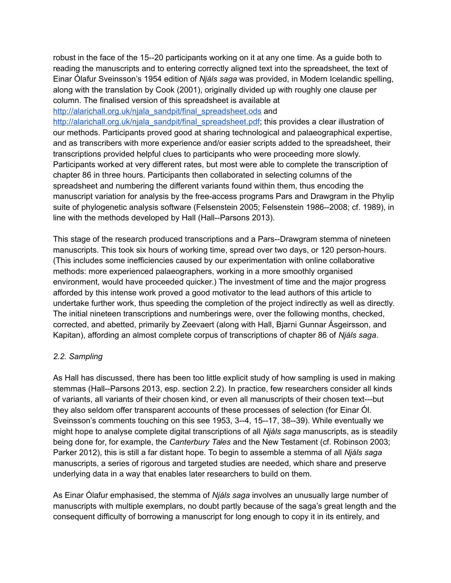robust in the face of the 15--20 participants working on it at any one time. As a guide both to reading the manuscripts and to entering correctly aligned text into the spreadsheet, the text of Einar Ólafur Sveinsson's 1954 edition of *Njáls saga* was provided, in Modern Icelandic spelling, along with the translation by Cook (2001), originally divided up with roughly one clause per column. The finalised version of this spreadsheet is available at

[http://alarichall.org.uk/njala\\_sandpit/final\\_spreadsheet.ods](http://alarichall.org.uk/njala_sandpit/final_spreadsheet.ods) and

[http://alarichall.org.uk/njala\\_sandpit/final\\_spreadsheet.pdf;](http://alarichall.org.uk/njala_sandpit/final_spreadsheet.pdf) this provides a clear illustration of our methods. Participants proved good at sharing technological and palaeographical expertise, and as transcribers with more experience and/or easier scripts added to the spreadsheet, their transcriptions provided helpful clues to participants who were proceeding more slowly. Participants worked at very different rates, but most were able to complete the transcription of chapter 86 in three hours. Participants then collaborated in selecting columns of the spreadsheet and numbering the different variants found within them, thus encoding the manuscript variation for analysis by the free-access programs Pars and Drawgram in the Phylip suite of phylogenetic analysis software (Felsenstein 2005; Felsenstein 1986--2008; cf. 1989), in line with the methods developed by Hall (Hall--Parsons 2013).

This stage of the research produced transcriptions and a Pars--Drawgram stemma of nineteen manuscripts. This took six hours of working time, spread over two days, or 120 person-hours. (This includes some inefficiencies caused by our experimentation with online collaborative methods: more experienced palaeographers, working in a more smoothly organised environment, would have proceeded quicker.) The investment of time and the major progress afforded by this intense work proved a good motivator to the lead authors of this article to undertake further work, thus speeding the completion of the project indirectly as well as directly. The initial nineteen transcriptions and numberings were, over the following months, checked, corrected, and abetted, primarily by Zeevaert (along with Hall, Bjarni Gunnar Ásgeirsson, and Kapitan), affording an almost complete corpus of transcriptions of chapter 86 of *Njáls saga*.

### *2.2. Sampling*

As Hall has discussed, there has been too little explicit study of how sampling is used in making stemmas (Hall--Parsons 2013, esp. section 2.2). In practice, few researchers consider all kinds of variants, all variants of their chosen kind, or even all manuscripts of their chosen text---but they also seldom offer transparent accounts of these processes of selection (for Einar Ól. Sveinsson's comments touching on this see 1953, 3--4, 15--17, 38--39). While eventually we might hope to analyse complete digital transcriptions of all *Njáls saga* manuscripts, as is steadily being done for, for example, the *Canterbury Tales* and the New Testament (cf. Robinson 2003; Parker 2012), this is still a far distant hope. To begin to assemble a stemma of all *Njáls saga* manuscripts, a series of rigorous and targeted studies are needed, which share and preserve underlying data in a way that enables later researchers to build on them.

As Einar Ólafur emphasised, the stemma of *Njáls saga* involves an unusually large number of manuscripts with multiple exemplars, no doubt partly because of the saga's great length and the consequent difficulty of borrowing a manuscript for long enough to copy it in its entirely, and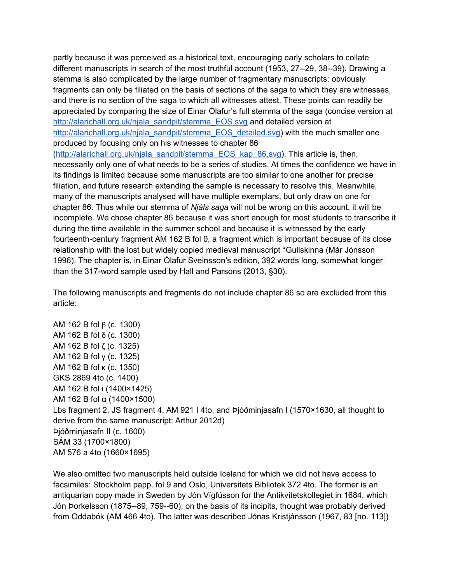partly because it was perceived as a historical text, encouraging early scholars to collate different manuscripts in search of the most truthful account (1953, 27--29, 38--39). Drawing a stemma is also complicated by the large number of fragmentary manuscripts: obviously fragments can only be filiated on the basis of sections of the saga to which they are witnesses, and there is no section of the saga to which all witnesses attest. These points can readily be appreciated by comparing the size of Einar Ólafur's full stemma of the saga (concise version at [http://alarichall.org.uk/njala\\_sandpit/stemma\\_EOS.svg](http://alarichall.org.uk/njala_sandpit/stemma_EOS.svg) and detailed version at [http://alarichall.org.uk/njala\\_sandpit/stemma\\_EOS\\_detailed.svg\)](http://alarichall.org.uk/njala_sandpit/stemma_EOS_detailed.svg) with the much smaller one produced by focusing only on his witnesses to chapter 86

[\(http://alarichall.org.uk/njala\\_sandpit/stemma\\_EOS\\_kap\\_86.svg\)](http://alarichall.org.uk/njala_sandpit/stemma_EOS_kap_86.svg). This article is, then, necessarily only one of what needs to be a series of studies. At times the confidence we have in its findings is limited because some manuscripts are too similar to one another for precise filiation, and future research extending the sample is necessary to resolve this. Meanwhile, many of the manuscripts analysed will have multiple exemplars, but only draw on one for chapter 86. Thus while our stemma of *Njáls saga* will not be wrong on this account, it will be incomplete. We chose chapter 86 because it was short enough for most students to transcribe it during the time available in the summer school and because it is witnessed by the early fourteenth-century fragment AM 162 B fol θ, a fragment which is important because of its close relationship with the lost but widely copied medieval manuscript \*Gullskinna (Már Jónsson 1996). The chapter is, in Einar Ólafur Sveinsson's edition, 392 words long, somewhat longer than the 317-word sample used by Hall and Parsons (2013, §30).

The following manuscripts and fragments do not include chapter 86 so are excluded from this article:

AM 162 B fol β (c. 1300) AM 162 B fol δ (c. 1300) AM 162 B fol ζ (c. 1325) AM 162 B fol γ (c. 1325) AM 162 B fol κ (c. 1350) GKS 2869 4to (c. 1400) AM 162 B fol ι (1400×1425) AM 162 B fol α (1400×1500) Lbs fragment 2, JS fragment 4, AM 921 I 4to, and Þjóðminjasafn I (1570×1630, all thought to derive from the same manuscript: Arthur 2012d) Þjóðminjasafn II (c. 1600) SÁM 33 (1700×1800) AM 576 a 4to (1660×1695)

We also omitted two manuscripts held outside Iceland for which we did not have access to facsimiles: Stockholm papp. fol 9 and Oslo, Universitets Bibliotek 372 4to. The former is an antiquarian copy made in Sweden by Jón Vígfússon for the Antikvitetskollegiet in 1684, which Jón Þorkelsson (1875--89, 759--60), on the basis of its incipits, thought was probably derived from Oddabók (AM 466 4to). The latter was described Jónas Kristjánsson (1967, 83 [no. 113])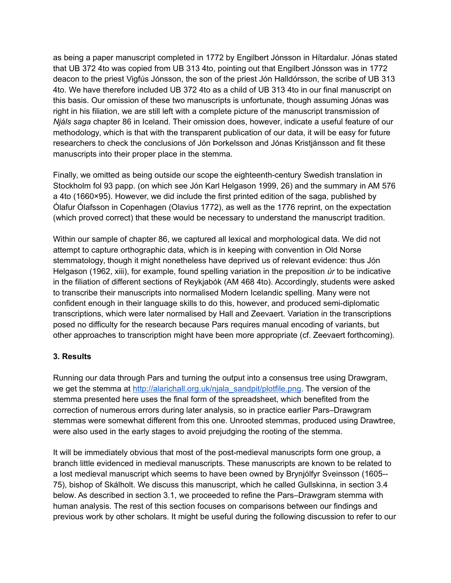as being a paper manuscript completed in 1772 by Engilbert Jónsson in Hítardalur. Jónas stated that UB 372 4to was copied from UB 313 4to, pointing out that Engilbert Jónsson was in 1772 deacon to the priest Vigfús Jónsson, the son of the priest Jón Halldórsson, the scribe of UB 313 4to. We have therefore included UB 372 4to as a child of UB 313 4to in our final manuscript on this basis. Our omission of these two manuscripts is unfortunate, though assuming Jónas was right in his filiation, we are still left with a complete picture of the manuscript transmission of *Njáls saga* chapter 86 in Iceland. Their omission does, however, indicate a useful feature of our methodology, which is that with the transparent publication of our data, it will be easy for future researchers to check the conclusions of Jón Þorkelsson and Jónas Kristjánsson and fit these manuscripts into their proper place in the stemma.

Finally, we omitted as being outside our scope the eighteenth-century Swedish translation in Stockholm fol 93 papp. (on which see Jón Karl Helgason 1999, 26) and the summary in AM 576 a 4to (1660×95). However, we did include the first printed edition of the saga, published by Ólafur Ólafsson in Copenhagen (Olavius 1772), as well as the 1776 reprint, on the expectation (which proved correct) that these would be necessary to understand the manuscript tradition.

Within our sample of chapter 86, we captured all lexical and morphological data. We did not attempt to capture orthographic data, which is in keeping with convention in Old Norse stemmatology, though it might nonetheless have deprived us of relevant evidence: thus Jón Helgason (1962, xiii), for example, found spelling variation in the preposition *úr* to be indicative in the filiation of different sections of Reykjabók (AM 468 4to). Accordingly, students were asked to transcribe their manuscripts into normalised Modern Icelandic spelling. Many were not confident enough in their language skills to do this, however, and produced semi-diplomatic transcriptions, which were later normalised by Hall and Zeevaert. Variation in the transcriptions posed no difficulty for the research because Pars requires manual encoding of variants, but other approaches to transcription might have been more appropriate (cf. Zeevaert forthcoming).

### **3. Results**

Running our data through Pars and turning the output into a consensus tree using Drawgram, we get the stemma at [http://alarichall.org.uk/njala\\_sandpit/plotfile.png.](http://alarichall.org.uk/njala_sandpit/plotfile.png) The version of the stemma presented here uses the final form of the spreadsheet, which benefited from the correction of numerous errors during later analysis, so in practice earlier Pars–Drawgram stemmas were somewhat different from this one. Unrooted stemmas, produced using Drawtree, were also used in the early stages to avoid prejudging the rooting of the stemma.

It will be immediately obvious that most of the post-medieval manuscripts form one group, a branch little evidenced in medieval manuscripts. These manuscripts are known to be related to a lost medieval manuscript which seems to have been owned by Brynjólfyr Sveinsson (1605-- 75), bishop of Skálholt. We discuss this manuscript, which he called Gullskinna, in section 3.4 below. As described in section 3.1, we proceeded to refine the Pars–Drawgram stemma with human analysis. The rest of this section focuses on comparisons between our findings and previous work by other scholars. It might be useful during the following discussion to refer to our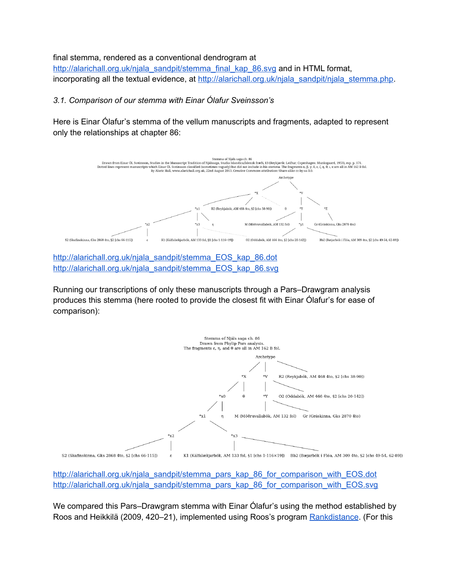final stemma, rendered as a conventional dendrogram at

[http://alarichall.org.uk/njala\\_sandpit/stemma\\_final\\_kap\\_86.svg](http://alarichall.org.uk/njala_sandpit/stemma_final_kap_86.svg) and in HTML format, incorporating all the textual evidence, at [http://alarichall.org.uk/njala\\_sandpit/njala\\_stemma.php.](http://alarichall.org.uk/njala_sandpit/njala_stemma.php)

### *3.1. Comparison of our stemma with Einar Ólafur Sveinsson's*

Here is Einar Ólafur's stemma of the vellum manuscripts and fragments, adapted to represent only the relationships at chapter 86:



[http://alarichall.org.uk/njala\\_sandpit/stemma\\_EOS\\_kap\\_86.dot](http://alarichall.org.uk/njala_sandpit/stemma_EOS_kap_86.dot) [http://alarichall.org.uk/njala\\_sandpit/stemma\\_EOS\\_kap\\_86.svg](http://alarichall.org.uk/njala_sandpit/stemma_EOS_kap_86.svg)

Running our transcriptions of only these manuscripts through a Pars–Drawgram analysis produces this stemma (here rooted to provide the closest fit with Einar Ólafur's for ease of comparison):



[http://alarichall.org.uk/njala\\_sandpit/stemma\\_pars\\_kap\\_86\\_for\\_comparison\\_with\\_EOS.dot](http://alarichall.org.uk/njala_sandpit/stemma_pars_kap_86_for_comparison_with_EOS.dot) [http://alarichall.org.uk/njala\\_sandpit/stemma\\_pars\\_kap\\_86\\_for\\_comparison\\_with\\_EOS.svg](http://alarichall.org.uk/njala_sandpit/stemma_pars_kap_86_for_comparison_with_EOS.svg)

We compared this Pars–Drawgram stemma with Einar Ólafur's using the method established by Roos and Heikkilä (2009, 420–21), implemented using Roos's program [Rankdistance.](http://www.cs.helsinki.fi/u/ttonteri/casc/rankdistance.c) (For this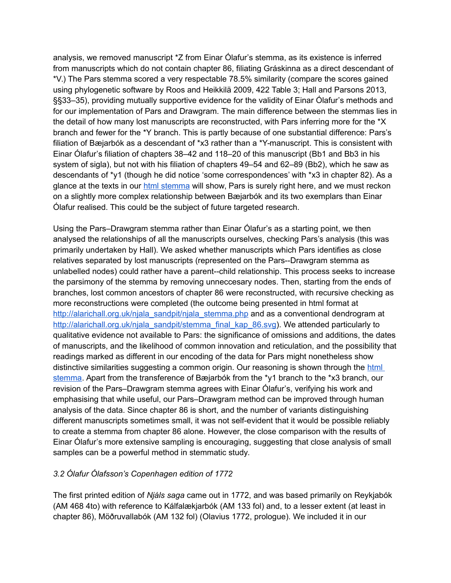analysis, we removed manuscript \*Z from Einar Ólafur's stemma, as its existence is inferred from manuscripts which do not contain chapter 86, filiating Gráskinna as a direct descendant of \*V.) The Pars stemma scored a very respectable 78.5% similarity (compare the scores gained using phylogenetic software by Roos and Heikkilä 2009, 422 Table 3; Hall and Parsons 2013, §§33–35), providing mutually supportive evidence for the validity of Einar Ólafur's methods and for our implementation of Pars and Drawgram. The main difference between the stemmas lies in the detail of how many lost manuscripts are reconstructed, with Pars inferring more for the \*X branch and fewer for the \*Y branch. This is partly because of one substantial difference: Pars's filiation of Bæjarbók as a descendant of \*x3 rather than a \*Y-manuscript. This is consistent with Einar Ólafur's filiation of chapters 38–42 and 118–20 of this manuscript (Bb1 and Bb3 in his system of sigla), but not with his filiation of chapters 49–54 and 62–89 (Bb2), which he saw as descendants of \*y1 (though he did notice 'some correspondences' with \*x3 in chapter 82). As a glance at the texts in our [html stemma](http://alarichall.org.uk/njala_sandpit/njala_stemma.php) will show, Pars is surely right here, and we must reckon on a slightly more complex relationship between Bæjarbók and its two exemplars than Einar Ólafur realised. This could be the subject of future targeted research.

Using the Pars–Drawgram stemma rather than Einar Ólafur's as a starting point, we then analysed the relationships of all the manuscripts ourselves, checking Pars's analysis (this was primarily undertaken by Hall). We asked whether manuscripts which Pars identifies as close relatives separated by lost manuscripts (represented on the Pars--Drawgram stemma as unlabelled nodes) could rather have a parent--child relationship. This process seeks to increase the parsimony of the stemma by removing unneccesary nodes. Then, starting from the ends of branches, lost common ancestors of chapter 86 were reconstructed, with recursive checking as more reconstructions were completed (the outcome being presented in html format at [http://alarichall.org.uk/njala\\_sandpit/njala\\_stemma.php](http://alarichall.org.uk/njala_sandpit/njala_stemma.php) and as a conventional dendrogram at [http://alarichall.org.uk/njala\\_sandpit/stemma\\_final\\_kap\\_86.svg\)](http://alarichall.org.uk/njala_sandpit/stemma_final_kap_86.svg). We attended particularly to qualitative evidence not available to Pars: the significance of omissions and additions, the dates of manuscripts, and the likelihood of common innovation and reticulation, and the possibility that readings marked as different in our encoding of the data for Pars might nonetheless show distinctive similarities suggesting a common origin. Our reasoning is shown through the html [stemma.](http://alarichall.org.uk/njala_sandpit/njala_stemma.php) Apart from the transference of Bæjarbók from the \*y1 branch to the \*x3 branch, our revision of the Pars–Drawgram stemma agrees with Einar Ólafur's, verifying his work and emphasising that while useful, our Pars–Drawgram method can be improved through human analysis of the data. Since chapter 86 is short, and the number of variants distinguishing different manuscripts sometimes small, it was not self-evident that it would be possible reliably to create a stemma from chapter 86 alone. However, the close comparison with the results of Einar Ólafur's more extensive sampling is encouraging, suggesting that close analysis of small samples can be a powerful method in stemmatic study.

# *3.2 Ólafur Ólafsson's Copenhagen edition of 1772*

The first printed edition of *Njáls saga* came out in 1772, and was based primarily on Reykjabók (AM 468 4to) with reference to Kálfalækjarbók (AM 133 fol) and, to a lesser extent (at least in chapter 86), Möðruvallabók (AM 132 fol) (Olavius 1772, prologue). We included it in our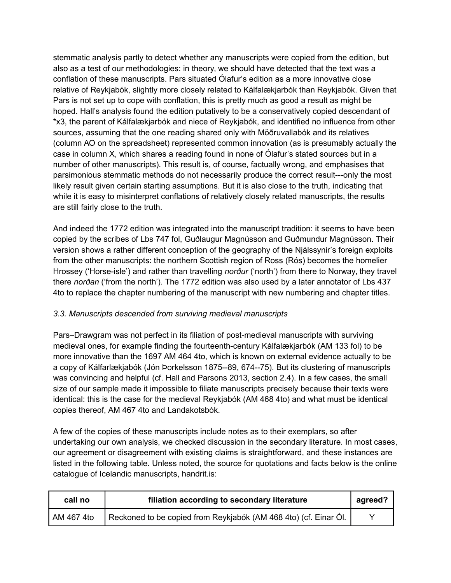stemmatic analysis partly to detect whether any manuscripts were copied from the edition, but also as a test of our methodologies: in theory, we should have detected that the text was a conflation of these manuscripts. Pars situated Ólafur's edition as a more innovative close relative of Reykjabók, slightly more closely related to Kálfalækjarbók than Reykjabók. Given that Pars is not set up to cope with conflation, this is pretty much as good a result as might be hoped. Hall's analysis found the edition putatively to be a conservatively copied descendant of \*x3, the parent of Kálfalækjarbók and niece of Reykjabók, and identified no influence from other sources, assuming that the one reading shared only with Möðruvallabók and its relatives (column AO on the spreadsheet) represented common innovation (as is presumably actually the case in column X, which shares a reading found in none of Ólafur's stated sources but in a number of other manuscripts). This result is, of course, factually wrong, and emphasises that parsimonious stemmatic methods do not necessarily produce the correct result---only the most likely result given certain starting assumptions. But it is also close to the truth, indicating that while it is easy to misinterpret conflations of relatively closely related manuscripts, the results are still fairly close to the truth.

And indeed the 1772 edition was integrated into the manuscript tradition: it seems to have been copied by the scribes of Lbs 747 fol, Guðlaugur Magnússon and Guðmundur Magnússon. Their version shows a rather different conception of the geography of the Njálssynir's foreign exploits from the other manuscripts: the northern Scottish region of Ross (Rós) becomes the homelier Hrossey ('Horse-isle') and rather than travelling *norður* ('north') from there to Norway, they travel there *norðan* ('from the north'). The 1772 edition was also used by a later annotator of Lbs 437 4to to replace the chapter numbering of the manuscript with new numbering and chapter titles.

# *3.3. Manuscripts descended from surviving medieval manuscripts*

Pars–Drawgram was not perfect in its filiation of post-medieval manuscripts with surviving medieval ones, for example finding the fourteenth-century Kálfalækjarbók (AM 133 fol) to be more innovative than the 1697 AM 464 4to, which is known on external evidence actually to be a copy of Kálfarlækjabók (Jón Þorkelsson 1875--89, 674--75). But its clustering of manuscripts was convincing and helpful (cf. Hall and Parsons 2013, section 2.4). In a few cases, the small size of our sample made it impossible to filiate manuscripts precisely because their texts were identical: this is the case for the medieval Reykjabók (AM 468 4to) and what must be identical copies thereof, AM 467 4to and Landakotsbók.

A few of the copies of these manuscripts include notes as to their exemplars, so after undertaking our own analysis, we checked discussion in the secondary literature. In most cases, our agreement or disagreement with existing claims is straightforward, and these instances are listed in the following table. Unless noted, the source for quotations and facts below is the online catalogue of Icelandic manuscripts, handrit.is:

| call no    | filiation according to secondary literature                      |   |
|------------|------------------------------------------------------------------|---|
| AM 467 4to | Reckoned to be copied from Reykjabók (AM 468 4to) (cf. Einar Ól. | γ |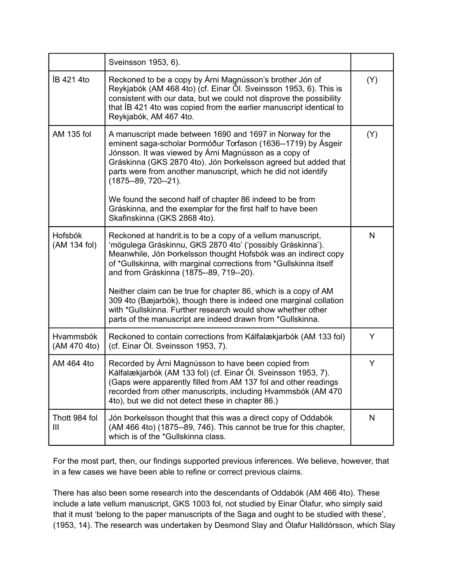|                                | Sveinsson 1953, 6).                                                                                                                                                                                                                                                                                                                            |              |
|--------------------------------|------------------------------------------------------------------------------------------------------------------------------------------------------------------------------------------------------------------------------------------------------------------------------------------------------------------------------------------------|--------------|
| ÍB 421 4to                     | Reckoned to be a copy by Árni Magnússon's brother Jón of<br>Reykjabók (AM 468 4to) (cf. Einar Ól. Sveinsson 1953, 6). This is<br>consistent with our data, but we could not disprove the possibility<br>that IB 421 4to was copied from the earlier manuscript identical to<br>Reykjabók, AM 467 4to.                                          | (Y)          |
| AM 135 fol                     | A manuscript made between 1690 and 1697 in Norway for the<br>eminent saga-scholar Þormóður Torfason (1636--1719) by Ásgeir<br>Jónsson. It was viewed by Árni Magnússon as a copy of<br>Gráskinna (GKS 2870 4to). Jón Þorkelsson agreed but added that<br>parts were from another manuscript, which he did not identify<br>(1875--89, 720--21). | (Y)          |
|                                | We found the second half of chapter 86 indeed to be from<br>Gráskinna, and the exemplar for the first half to have been<br>Skafinskinna (GKS 2868 4to).                                                                                                                                                                                        |              |
| <b>Hofsbók</b><br>(AM 134 fol) | Reckoned at handrit.is to be a copy of a vellum manuscript,<br>'mögulega Gráskinnu, GKS 2870 4to' ('possibly Gráskinna').<br>Meanwhile, Jón Þorkelsson thought Hofsbók was an indirect copy<br>of *Gullskinna, with marginal corrections from *Gullskinna itself<br>and from Gráskinna (1875--89, 719--20).                                    | N            |
|                                | Neither claim can be true for chapter 86, which is a copy of AM<br>309 4to (Bæjarbók), though there is indeed one marginal collation<br>with *Gullskinna. Further research would show whether other<br>parts of the manuscript are indeed drawn from *Gullskinna.                                                                              |              |
| Hvammsbók<br>(AM 470 4to)      | Reckoned to contain corrections from Kálfalækjarbók (AM 133 fol)<br>(cf. Einar Ól. Sveinsson 1953, 7).                                                                                                                                                                                                                                         | Y            |
| AM 464 4to                     | Recorded by Árni Magnússon to have been copied from<br>Kálfalækjarbók (AM 133 fol) (cf. Einar Ól. Sveinsson 1953, 7).<br>(Gaps were apparently filled from AM 137 fol and other readings<br>recorded from other manuscripts, including Hvammsbók (AM 470<br>4to), but we did not detect these in chapter 86.)                                  | Y            |
| Thott 984 fol<br>Ш             | Jón Þorkelsson thought that this was a direct copy of Oddabók<br>(AM 466 4to) (1875--89, 746). This cannot be true for this chapter,<br>which is of the *Gullskinna class.                                                                                                                                                                     | $\mathsf{N}$ |

For the most part, then, our findings supported previous inferences. We believe, however, that in a few cases we have been able to refine or correct previous claims.

There has also been some research into the descendants of Oddabók (AM 466 4to). These include a late vellum manuscript, GKS 1003 fol, not studied by Einar Ólafur, who simply said that it must 'belong to the paper manuscripts of the Saga and ought to be studied with these', (1953, 14). The research was undertaken by Desmond Slay and Ólafur Halldórsson, which Slay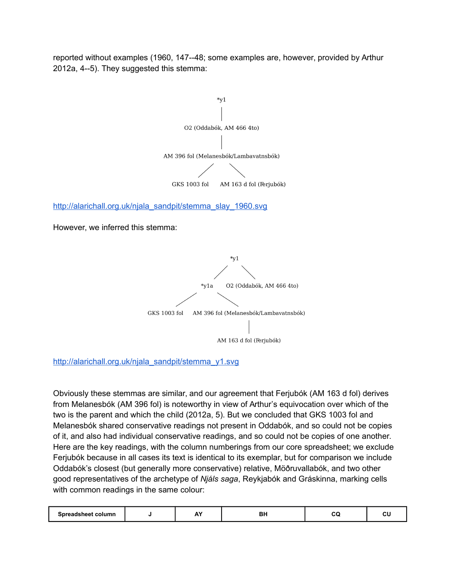reported without examples (1960, 147--48; some examples are, however, provided by Arthur 2012a, 4--5). They suggested this stemma:



[http://alarichall.org.uk/njala\\_sandpit/stemma\\_y1.svg](http://alarichall.org.uk/njala_sandpit/stemma_y1.svg)

Obviously these stemmas are similar, and our agreement that Ferjubók (AM 163 d fol) derives from Melanesbók (AM 396 fol) is noteworthy in view of Arthur's equivocation over which of the two is the parent and which the child (2012a, 5). But we concluded that GKS 1003 fol and Melanesbók shared conservative readings not present in Oddabók, and so could not be copies of it, and also had individual conservative readings, and so could not be copies of one another. Here are the key readings, with the column numberings from our core spreadsheet; we exclude Ferjubók because in all cases its text is identical to its exemplar, but for comparison we include Oddabók's closest (but generally more conservative) relative, Möðruvallabók, and two other good representatives of the archetype of *Njáls saga*, Reykjabók and Gráskinna, marking cells with common readings in the same colour:

| Snre<br>column<br>sneer o |  | <b></b> | _<br>DП | __ |  |
|---------------------------|--|---------|---------|----|--|
|---------------------------|--|---------|---------|----|--|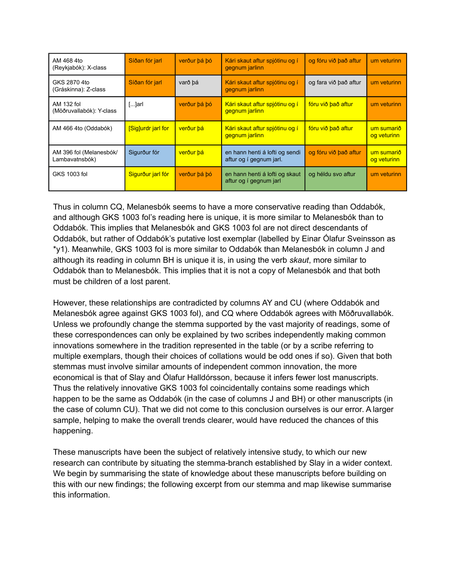| AM 468 4to<br>(Reykjabók): X-class        | Síðan fór jarl           | verður þá þó | Kári skaut aftur spjótinu og í<br>gegnum jarlinn          | og fóru við það aftur | um veturinn               |
|-------------------------------------------|--------------------------|--------------|-----------------------------------------------------------|-----------------------|---------------------------|
| GKS 2870 4to<br>(Gráskinna): Z-class      | Síðan fór jarl           | varð bá      | Kári skaut aftur spjótinu og í<br>gegnum jarlinn          | og fara við það aftur | um veturinn               |
| AM 132 fol<br>(Möðruvallabók): Y-class    | $[]$ arl                 | verður þá þó | Kári skaut aftur spjótinu og í<br>gegnum jarlinn          | fóru við það aftur    | um veturinn               |
| AM 466 4to (Oddabók)                      | <b>Siglurdr</b> jarl for | verður bá    | Kári skaut aftur spjótinu og í<br>gegnum jarlinn          | fóru við það aftur    | um sumarið<br>og veturinn |
| AM 396 fol (Melanesbók/<br>Lambavatnsbók) | Sigurður fór             | verður bá    | en hann henti á lofti og sendi<br>aftur og í gegnum jarl. | og fóru við það aftur | um sumarið<br>og veturinn |
| GKS 1003 fol                              | Sigurður jarl fór        | verður bá bó | en hann henti á lofti og skaut<br>aftur og í gegnum jarl  | og héldu svo aftur    | um veturinn               |

Thus in column CQ, Melanesbók seems to have a more conservative reading than Oddabók, and although GKS 1003 fol's reading here is unique, it is more similar to Melanesbók than to Oddabók. This implies that Melanesbók and GKS 1003 fol are not direct descendants of Oddabók, but rather of Oddabók's putative lost exemplar (labelled by Einar Ólafur Sveinsson as \*y1). Meanwhile, GKS 1003 fol is more similar to Oddabók than Melanesbók in column J and although its reading in column BH is unique it is, in using the verb *skaut*, more similar to Oddabók than to Melanesbók. This implies that it is not a copy of Melanesbók and that both must be children of a lost parent.

However, these relationships are contradicted by columns AY and CU (where Oddabók and Melanesbók agree against GKS 1003 fol), and CQ where Oddabók agrees with Möðruvallabók. Unless we profoundly change the stemma supported by the vast majority of readings, some of these correspondences can only be explained by two scribes independently making common innovations somewhere in the tradition represented in the table (or by a scribe referring to multiple exemplars, though their choices of collations would be odd ones if so). Given that both stemmas must involve similar amounts of independent common innovation, the more economical is that of Slay and Ólafur Halldórsson, because it infers fewer lost manuscripts. Thus the relatively innovative GKS 1003 fol coincidentally contains some readings which happen to be the same as Oddabók (in the case of columns J and BH) or other manuscripts (in the case of column CU). That we did not come to this conclusion ourselves is our error. A larger sample, helping to make the overall trends clearer, would have reduced the chances of this happening.

These manuscripts have been the subject of relatively intensive study, to which our new research can contribute by situating the stemma-branch established by Slay in a wider context. We begin by summarising the state of knowledge about these manuscripts before building on this with our new findings; the following excerpt from our stemma and map likewise summarise this information.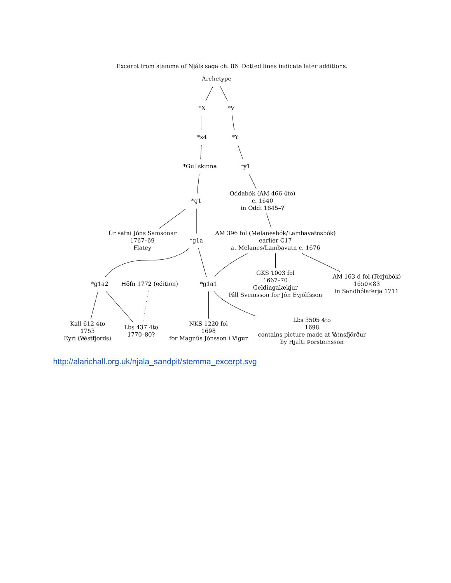Excerpt from stemma of Njáls saga ch. 86. Dotted lines indicate later additions.



[http://alarichall.org.uk/njala\\_sandpit/stemma\\_excerpt.svg](http://alarichall.org.uk/njala_sandpit/stemma_excerpt.svg)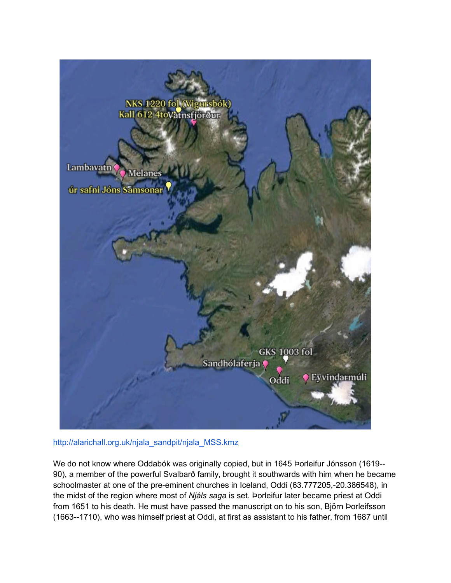

[http://alarichall.org.uk/njala\\_sandpit/njala\\_MSS.kmz](http://alarichall.org.uk/njala_sandpit/njala_MSS.kmz)

We do not know where Oddabók was originally copied, but in 1645 Þorleifur Jónsson (1619-- 90), a member of the powerful Svalbarð family, brought it southwards with him when he became schoolmaster at one of the pre-eminent churches in Iceland, Oddi (63.777205,-20.386548), in the midst of the region where most of *Njáls saga* is set. Þorleifur later became priest at Oddi from 1651 to his death. He must have passed the manuscript on to his son, Björn Þorleifsson (1663--1710), who was himself priest at Oddi, at first as assistant to his father, from 1687 until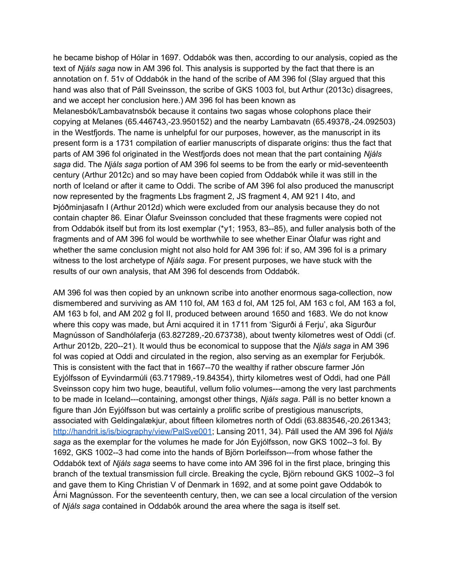he became bishop of Hólar in 1697. Oddabók was then, according to our analysis, copied as the text of *Njáls saga* now in AM 396 fol. This analysis is supported by the fact that there is an annotation on f. 51v of Oddabók in the hand of the scribe of AM 396 fol (Slay argued that this hand was also that of Páll Sveinsson, the scribe of GKS 1003 fol, but Arthur (2013c) disagrees, and we accept her conclusion here.) AM 396 fol has been known as

Melanesbók/Lambavatnsbók because it contains two sagas whose colophons place their copying at Melanes (65.446743,-23.950152) and the nearby Lambavatn (65.49378,-24.092503) in the Westfjords. The name is unhelpful for our purposes, however, as the manuscript in its present form is a 1731 compilation of earlier manuscripts of disparate origins: thus the fact that parts of AM 396 fol originated in the Westfjords does not mean that the part containing *Njáls saga* did. The *Njáls saga* portion of AM 396 fol seems to be from the early or mid-seventeenth century (Arthur 2012c) and so may have been copied from Oddabók while it was still in the north of Iceland or after it came to Oddi. The scribe of AM 396 fol also produced the manuscript now represented by the fragments Lbs fragment 2, JS fragment 4, AM 921 I 4to, and Þjóðminjasafn I (Arthur 2012d) which were excluded from our analysis because they do not contain chapter 86. Einar Ólafur Sveinsson concluded that these fragments were copied not from Oddabók itself but from its lost exemplar (\*y1; 1953, 83--85), and fuller analysis both of the fragments and of AM 396 fol would be worthwhile to see whether Einar Ólafur was right and whether the same conclusion might not also hold for AM 396 fol: if so, AM 396 fol is a primary witness to the lost archetype of *Njáls saga*. For present purposes, we have stuck with the results of our own analysis, that AM 396 fol descends from Oddabók.

AM 396 fol was then copied by an unknown scribe into another enormous saga-collection, now dismembered and surviving as AM 110 fol, AM 163 d fol, AM 125 fol, AM 163 c fol, AM 163 a fol, AM 163 b fol, and AM 202 g fol II, produced between around 1650 and 1683. We do not know where this copy was made, but Árni acquired it in 1711 from 'Sigurði á Ferju', aka Sigurður Magnússon of Sandhólaferja (63.827289,-20.673738), about twenty kilometres west of Oddi (cf. Arthur 2012b, 220--21). It would thus be economical to suppose that the *Njáls saga* in AM 396 fol was copied at Oddi and circulated in the region, also serving as an exemplar for Ferjubók. This is consistent with the fact that in 1667--70 the wealthy if rather obscure farmer Jón Eyjólfsson of Eyvindarmúli (63.717989,-19.84354), thirty kilometres west of Oddi, had one Páll Sveinsson copy him two huge, beautiful, vellum folio volumes---among the very last parchments to be made in Iceland---containing, amongst other things, *Njáls saga*. Páll is no better known a figure than Jón Eyjólfsson but was certainly a prolific scribe of prestigious manuscripts, associated with Geldingalækjur, about fifteen kilometres north of Oddi (63.883546,-20.261343; [http://handrit.is/is/biography/view/PalSve001;](http://handrit.is/is/biography/view/PalSve001) Lansing 2011, 34). Páll used the AM 396 fol *Njáls saga* as the exemplar for the volumes he made for Jón Eyjólfsson, now GKS 1002--3 fol. By 1692, GKS 1002--3 had come into the hands of Björn Þorleifsson---from whose father the Oddabók text of *Njáls saga* seems to have come into AM 396 fol in the first place, bringing this branch of the textual transmission full circle. Breaking the cycle, Björn rebound GKS 1002--3 fol and gave them to King Christian V of Denmark in 1692, and at some point gave Oddabók to Árni Magnússon. For the seventeenth century, then, we can see a local circulation of the version of *Njáls saga* contained in Oddabók around the area where the saga is itself set.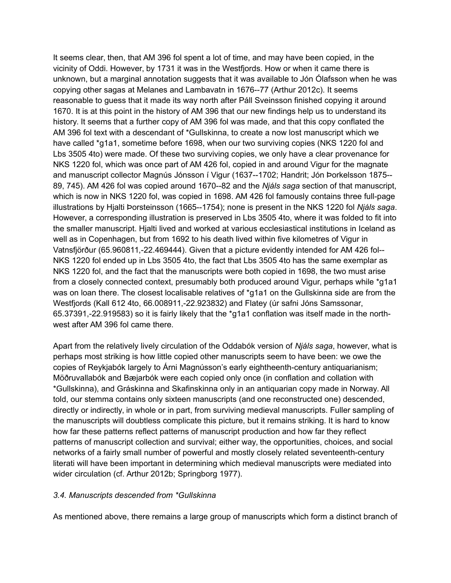It seems clear, then, that AM 396 fol spent a lot of time, and may have been copied, in the vicinity of Oddi. However, by 1731 it was in the Westfjords. How or when it came there is unknown, but a marginal annotation suggests that it was available to Jón Ólafsson when he was copying other sagas at Melanes and Lambavatn in 1676--77 (Arthur 2012c). It seems reasonable to guess that it made its way north after Páll Sveinsson finished copying it around 1670. It is at this point in the history of AM 396 that our new findings help us to understand its history. It seems that a further copy of AM 396 fol was made, and that this copy conflated the AM 396 fol text with a descendant of \*Gullskinna, to create a now lost manuscript which we have called \*g1a1, sometime before 1698, when our two surviving copies (NKS 1220 fol and Lbs 3505 4to) were made. Of these two surviving copies, we only have a clear provenance for NKS 1220 fol, which was once part of AM 426 fol, copied in and around Vigur for the magnate and manuscript collector Magnús Jónsson í Vigur (1637--1702; Handrit; Jón Þorkelsson 1875-- 89, 745). AM 426 fol was copied around 1670--82 and the *Njáls saga* section of that manuscript, which is now in NKS 1220 fol, was copied in 1698. AM 426 fol famously contains three full-page illustrations by Hjalti Þorsteinsson (1665--1754); none is present in the NKS 1220 fol *Njáls saga*. However, a corresponding illustration is preserved in Lbs 3505 4to, where it was folded to fit into the smaller manuscript. Hjalti lived and worked at various ecclesiastical institutions in Iceland as well as in Copenhagen, but from 1692 to his death lived within five kilometres of Vigur in Vatnsfjörður (65.960811,-22.469444). Given that a picture evidently intended for AM 426 fol-- NKS 1220 fol ended up in Lbs 3505 4to, the fact that Lbs 3505 4to has the same exemplar as NKS 1220 fol, and the fact that the manuscripts were both copied in 1698, the two must arise from a closely connected context, presumably both produced around Vigur, perhaps while \*g1a1 was on loan there. The closest localisable relatives of \*q1a1 on the Gullskinna side are from the Westfjords (Kall 612 4to, 66.008911,-22.923832) and Flatey (úr safni Jóns Samssonar, 65.37391,-22.919583) so it is fairly likely that the \*g1a1 conflation was itself made in the northwest after AM 396 fol came there.

Apart from the relatively lively circulation of the Oddabók version of *Njáls saga*, however, what is perhaps most striking is how little copied other manuscripts seem to have been: we owe the copies of Reykjabók largely to Árni Magnússon's early eightheenth-century antiquarianism; Möðruvallabók and Bæjarbók were each copied only once (in conflation and collation with \*Gullskinna), and Gráskinna and Skafinskinna only in an antiquarian copy made in Norway. All told, our stemma contains only sixteen manuscripts (and one reconstructed one) descended, directly or indirectly, in whole or in part, from surviving medieval manuscripts. Fuller sampling of the manuscripts will doubtless complicate this picture, but it remains striking. It is hard to know how far these patterns reflect patterns of manuscript production and how far they reflect patterns of manuscript collection and survival; either way, the opportunities, choices, and social networks of a fairly small number of powerful and mostly closely related seventeenth-century literati will have been important in determining which medieval manuscripts were mediated into wider circulation (cf. Arthur 2012b; Springborg 1977).

### *3.4. Manuscripts descended from \*Gullskinna*

As mentioned above, there remains a large group of manuscripts which form a distinct branch of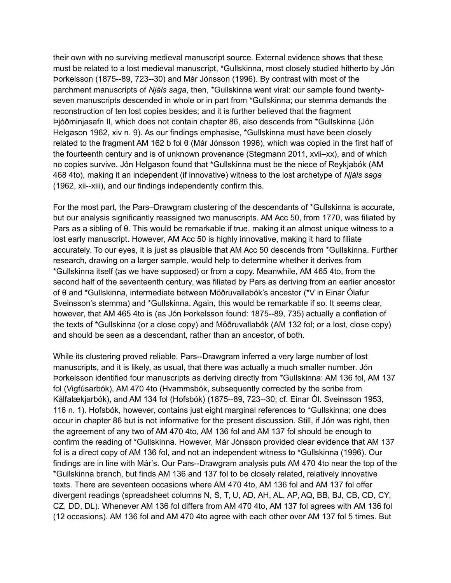their own with no surviving medieval manuscript source. External evidence shows that these must be related to a lost medieval manuscript, \*Gullskinna, most closely studied hitherto by Jón Þorkelsson (1875--89, 723--30) and Már Jónsson (1996). By contrast with most of the parchment manuscripts of *Njáls saga*, then, \*Gullskinna went viral: our sample found twentyseven manuscripts descended in whole or in part from \*Gullskinna; our stemma demands the reconstruction of ten lost copies besides; and it is further believed that the fragment Þjóðminjasafn II, which does not contain chapter 86, also descends from \*Gullskinna (Jón Helgason 1962, xiv n. 9). As our findings emphasise, \*Gullskinna must have been closely related to the fragment AM 162 b fol θ (Már Jónsson 1996), which was copied in the first half of the fourteenth century and is of unknown provenance (Stegmann 2011, xvii–xx), and of which no copies survive. Jón Helgason found that \*Gullskinna must be the niece of Reykjabók (AM 468 4to), making it an independent (if innovative) witness to the lost archetype of *Njáls saga*  (1962, xii--xiii), and our findings independently confirm this.

For the most part, the Pars–Drawgram clustering of the descendants of \*Gullskinna is accurate, but our analysis significantly reassigned two manuscripts. AM Acc 50, from 1770, was filiated by Pars as a sibling of θ. This would be remarkable if true, making it an almost unique witness to a lost early manuscript. However, AM Acc 50 is highly innovative, making it hard to filiate accurately. To our eyes, it is just as plausible that AM Acc 50 descends from \*Gullskinna. Further research, drawing on a larger sample, would help to determine whether it derives from \*Gullskinna itself (as we have supposed) or from a copy. Meanwhile, AM 465 4to, from the second half of the seventeenth century, was filiated by Pars as deriving from an earlier ancestor of θ and \*Gullskinna, intermediate between Möðruvallabók's ancestor (\*V in Einar Ólafur Sveinsson's stemma) and \*Gullskinna. Again, this would be remarkable if so. It seems clear, however, that AM 465 4to is (as Jón Þorkelsson found: 1875--89, 735) actually a conflation of the texts of \*Gullskinna (or a close copy) and Möðruvallabók (AM 132 fol; or a lost, close copy) and should be seen as a descendant, rather than an ancestor, of both.

While its clustering proved reliable, Pars--Drawgram inferred a very large number of lost manuscripts, and it is likely, as usual, that there was actually a much smaller number. Jón Þorkelsson identified four manuscripts as deriving directly from \*Gullskinna: AM 136 fol, AM 137 fol (Vigfúsarbók), AM 470 4to (Hvammsbók, subsequently corrected by the scribe from Kálfalækjarbók), and AM 134 fol (Hofsbók) (1875--89, 723--30; cf. Einar Ól. Sveinsson 1953, 116 n. 1). Hofsbók, however, contains just eight marginal references to \*Gullskinna; one does occur in chapter 86 but is not informative for the present discussion. Still, if Jón was right, then the agreement of any two of AM 470 4to, AM 136 fol and AM 137 fol should be enough to confirm the reading of \*Gullskinna. However, Már Jónsson provided clear evidence that AM 137 fol is a direct copy of AM 136 fol, and not an independent witness to \*Gullskinna (1996). Our findings are in line with Már's. Our Pars--Drawgram analysis puts AM 470 4to near the top of the \*Gullskinna branch, but finds AM 136 and 137 fol to be closely related, relatively innovative texts. There are seventeen occasions where AM 470 4to, AM 136 fol and AM 137 fol offer divergent readings (spreadsheet columns N, S, T, U, AD, AH, AL, AP, AQ, BB, BJ, CB, CD, CY, CZ, DD, DL). Whenever AM 136 fol differs from AM 470 4to, AM 137 fol agrees with AM 136 fol (12 occasions). AM 136 fol and AM 470 4to agree with each other over AM 137 fol 5 times. But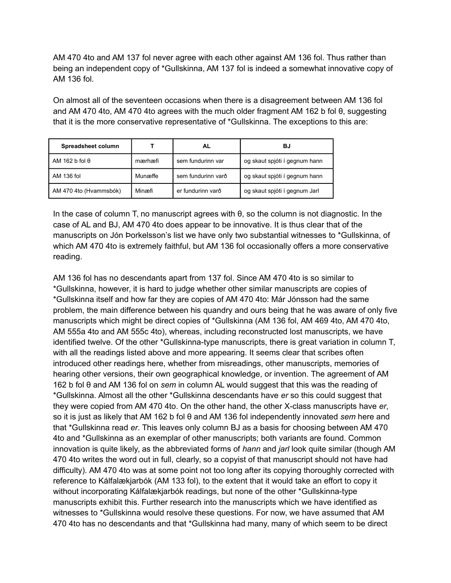AM 470 4to and AM 137 fol never agree with each other against AM 136 fol. Thus rather than being an independent copy of \*Gullskinna, AM 137 fol is indeed a somewhat innovative copy of AM 136 fol.

On almost all of the seventeen occasions when there is a disagreement between AM 136 fol and AM 470 4to, AM 470 4to agrees with the much older fragment AM 162 b fol θ, suggesting that it is the more conservative representative of \*Gullskinna. The exceptions to this are:

| Spreadsheet column     |         | AL                 | BJ                            |
|------------------------|---------|--------------------|-------------------------------|
| AM 162 b fol $\theta$  | mærhæfi | sem fundurinn var  | og skaut spjóti í gegnum hann |
| AM 136 fol             | Munæffe | sem fundurinn varð | og skaut spjóti í gegnum hann |
| AM 470 4to (Hvammsbók) | Minæfi  | er fundurinn varð  | og skaut spjóti í gegnum Jarl |

In the case of column T, no manuscript agrees with θ, so the column is not diagnostic. In the case of AL and BJ, AM 470 4to does appear to be innovative. It is thus clear that of the manuscripts on Jón Þorkelsson's list we have only two substantial witnesses to \*Gullskinna, of which AM 470 4to is extremely faithful, but AM 136 fol occasionally offers a more conservative reading.

AM 136 fol has no descendants apart from 137 fol. Since AM 470 4to is so similar to \*Gullskinna, however, it is hard to judge whether other similar manuscripts are copies of \*Gullskinna itself and how far they are copies of AM 470 4to: Már Jónsson had the same problem, the main difference between his quandry and ours being that he was aware of only five manuscripts which might be direct copies of \*Gullskinna (AM 136 fol, AM 469 4to, AM 470 4to, AM 555a 4to and AM 555c 4to), whereas, including reconstructed lost manuscripts, we have identified twelve. Of the other \*Gullskinna-type manuscripts, there is great variation in column T, with all the readings listed above and more appearing. It seems clear that scribes often introduced other readings here, whether from misreadings, other manuscripts, memories of hearing other versions, their own geographical knowledge, or invention. The agreement of AM 162 b fol θ and AM 136 fol on *sem* in column AL would suggest that this was the reading of \*Gullskinna. Almost all the other \*Gullskinna descendants have *er* so this could suggest that they were copied from AM 470 4to. On the other hand, the other X-class manuscripts have *er*, so it is just as likely that AM 162 b fol θ and AM 136 fol independently innovated *sem* here and that \*Gullskinna read *er*. This leaves only column BJ as a basis for choosing between AM 470 4to and \*Gullskinna as an exemplar of other manuscripts; both variants are found. Common innovation is quite likely, as the abbreviated forms of *hann* and *jarl* look quite similar (though AM 470 4to writes the word out in full, clearly, so a copyist of that manuscript should not have had difficulty). AM 470 4to was at some point not too long after its copying thoroughly corrected with reference to Kálfalækjarbók (AM 133 fol), to the extent that it would take an effort to copy it without incorporating Kálfalækjarbók readings, but none of the other \*Gullskinna-type manuscripts exhibit this. Further research into the manuscripts which we have identified as witnesses to \*Gullskinna would resolve these questions. For now, we have assumed that AM 470 4to has no descendants and that \*Gullskinna had many, many of which seem to be direct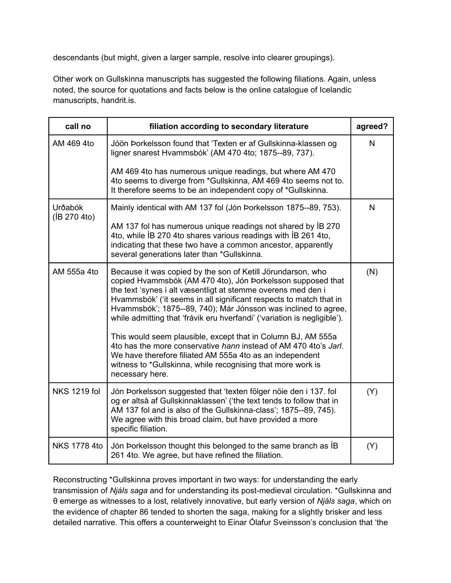descendants (but might, given a larger sample, resolve into clearer groupings).

Other work on Gullskinna manuscripts has suggested the following filiations. Again, unless noted, the source for quotations and facts below is the online catalogue of Icelandic manuscripts, handrit.is.

| call no                  | filiation according to secondary literature                                                                                                                                                                                                                                                                                                                                                                                                                                    | agreed? |
|--------------------------|--------------------------------------------------------------------------------------------------------------------------------------------------------------------------------------------------------------------------------------------------------------------------------------------------------------------------------------------------------------------------------------------------------------------------------------------------------------------------------|---------|
| AM 469 4to               | Jóön Þorkelsson found that 'Texten er af Gullskinna-klassen og<br>ligner snarest Hvammsbók' (AM 470 4to; 1875--89, 737).                                                                                                                                                                                                                                                                                                                                                       | N       |
|                          | AM 469 4to has numerous unique readings, but where AM 470<br>4to seems to diverge from *Gullskinna, AM 469 4to seems not to.<br>It therefore seems to be an independent copy of *Gullskinna.                                                                                                                                                                                                                                                                                   |         |
| Urðabók<br>(IB 270 4 to) | Mainly identical with AM 137 fol (Jón Þorkelsson 1875--89, 753).                                                                                                                                                                                                                                                                                                                                                                                                               | N       |
|                          | AM 137 fol has numerous unique readings not shared by IB 270<br>4to, while IB 270 4to shares various readings with IB 261 4to,<br>indicating that these two have a common ancestor, apparently<br>several generations later than *Gullskinna.                                                                                                                                                                                                                                  |         |
| AM 555a 4to              | Because it was copied by the son of Ketill Jörundarson, who<br>copied Hvammsbók (AM 470 4to), Jón Þorkelsson supposed that<br>the text 'synes i alt væsentligt at stemme overens med den i<br>Hvammsbók' ('it seems in all significant respects to match that in<br>Hvammsbók'; 1875--89, 740); Már Jónsson was inclined to agree,<br>while admitting that 'frávik eru hverfandi' ('variation is negligible').<br>This would seem plausible, except that in Column BJ, AM 555a | (N)     |
|                          | 4to has the more conservative hann instead of AM 470 4to's Jarl.<br>We have therefore filiated AM 555a 4to as an independent<br>witness to *Gullskinna, while recognising that more work is<br>necessary here.                                                                                                                                                                                                                                                                 |         |
| <b>NKS 1219 fol</b>      | Jón Þorkelsson suggested that 'texten fölger nöie den i 137. fol<br>og er altså af Gullskinnaklassen' ('the text tends to follow that in<br>AM 137 fol and is also of the Gullskinna-class'; 1875--89, 745).<br>We agree with this broad claim, but have provided a more<br>specific filiation.                                                                                                                                                                                | (Y)     |
| <b>NKS 1778 4to</b>      | Jón Þorkelsson thought this belonged to the same branch as IB<br>261 4to. We agree, but have refined the filiation.                                                                                                                                                                                                                                                                                                                                                            | (Y)     |

Reconstructing \*Gullskinna proves important in two ways: for understanding the early transmission of *Njáls saga* and for understanding its post-medieval circulation. \*Gullskinna and θ emerge as witnesses to a lost, relatively innovative, but early version of *Njáls saga*, which on the evidence of chapter 86 tended to shorten the saga, making for a slightly brisker and less detailed narrative. This offers a counterweight to Einar Ólafur Sveinsson's conclusion that 'the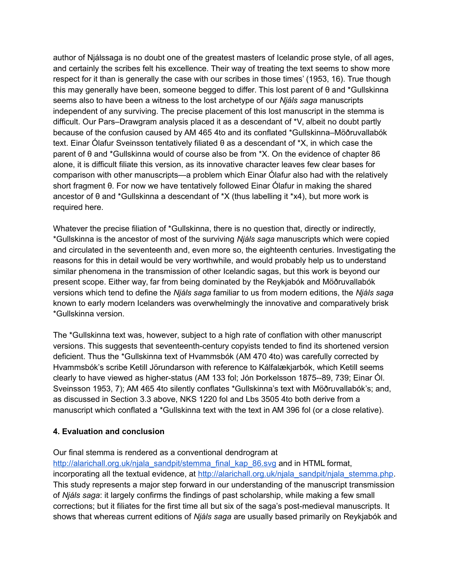author of Njálssaga is no doubt one of the greatest masters of Icelandic prose style, of all ages, and certainly the scribes felt his excellence. Their way of treating the text seems to show more respect for it than is generally the case with our scribes in those times' (1953, 16). True though this may generally have been, someone begged to differ. This lost parent of θ and \*Gullskinna seems also to have been a witness to the lost archetype of our *Njáls saga* manuscripts independent of any surviving. The precise placement of this lost manuscript in the stemma is difficult. Our Pars–Drawgram analysis placed it as a descendant of \*V, albeit no doubt partly because of the confusion caused by AM 465 4to and its conflated \*Gullskinna–Möðruvallabók text. Einar Ólafur Sveinsson tentatively filiated θ as a descendant of \*X, in which case the parent of θ and \*Gullskinna would of course also be from \*X. On the evidence of chapter 86 alone, it is difficult filiate this version, as its innovative character leaves few clear bases for comparison with other manuscripts—a problem which Einar Ólafur also had with the relatively short fragment θ. For now we have tentatively followed Einar Ólafur in making the shared ancestor of θ and \*Gullskinna a descendant of \*X (thus labelling it \*x4), but more work is required here.

Whatever the precise filiation of \*Gullskinna, there is no question that, directly or indirectly, \*Gullskinna is the ancestor of most of the surviving *Njáls saga* manuscripts which were copied and circulated in the seventeenth and, even more so, the eighteenth centuries. Investigating the reasons for this in detail would be very worthwhile, and would probably help us to understand similar phenomena in the transmission of other Icelandic sagas, but this work is beyond our present scope. Either way, far from being dominated by the Reykjabók and Möðruvallabók versions which tend to define the *Njáls saga* familiar to us from modern editions, the *Njáls saga* known to early modern Icelanders was overwhelmingly the innovative and comparatively brisk \*Gullskinna version.

The \*Gullskinna text was, however, subject to a high rate of conflation with other manuscript versions. This suggests that seventeenth-century copyists tended to find its shortened version deficient. Thus the \*Gullskinna text of Hvammsbók (AM 470 4to) was carefully corrected by Hvammsbók's scribe Ketill Jörundarson with reference to Kálfalækjarbók, which Ketill seems clearly to have viewed as higher-status (AM 133 fol; Jón Þorkelsson 1875--89, 739; Einar Ól. Sveinsson 1953, 7); AM 465 4to silently conflates \*Gullskinna's text with Möðruvallabók's; and, as discussed in Section 3.3 above, NKS 1220 fol and Lbs 3505 4to both derive from a manuscript which conflated a \*Gullskinna text with the text in AM 396 fol (or a close relative).

### **4. Evaluation and conclusion**

Our final stemma is rendered as a conventional dendrogram at

[http://alarichall.org.uk/njala\\_sandpit/stemma\\_final\\_kap\\_86.svg](http://alarichall.org.uk/njala_sandpit/stemma_final_kap_86.svg) and in HTML format, incorporating all the textual evidence, at [http://alarichall.org.uk/njala\\_sandpit/njala\\_stemma.php.](http://alarichall.org.uk/njala_sandpit/njala_stemma.php) This study represents a major step forward in our understanding of the manuscript transmission of *Njáls saga*: it largely confirms the findings of past scholarship, while making a few small corrections; but it filiates for the first time all but six of the saga's post-medieval manuscripts. It shows that whereas current editions of *Njáls saga* are usually based primarily on Reykjabók and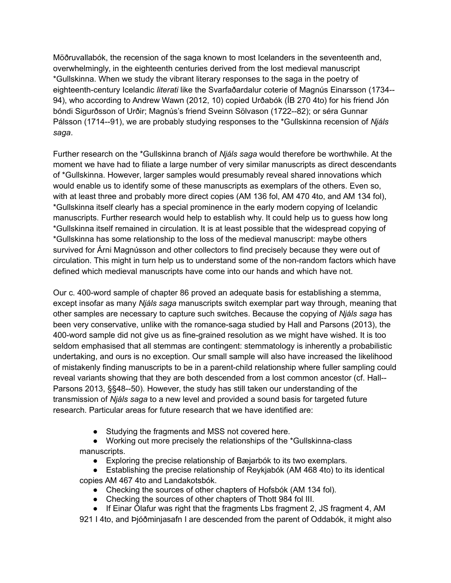Möðruvallabók, the recension of the saga known to most Icelanders in the seventeenth and, overwhelmingly, in the eighteenth centuries derived from the lost medieval manuscript \*Gullskinna. When we study the vibrant literary responses to the saga in the poetry of eighteenth-century Icelandic *literati* like the Svarfaðardalur coterie of Magnús Einarsson (1734-- 94), who according to Andrew Wawn (2012, 10) copied Urðabók (ÍB 270 4to) for his friend Jón bóndi Sigurðsson of Urðir; Magnús's friend Sveinn Sölvason (1722--82); or séra Gunnar Pálsson (1714--91), we are probably studying responses to the \*Gullskinna recension of *Njáls saga*.

Further research on the \*Gullskinna branch of *Njáls saga* would therefore be worthwhile. At the moment we have had to filiate a large number of very similar manuscripts as direct descendants of \*Gullskinna. However, larger samples would presumably reveal shared innovations which would enable us to identify some of these manuscripts as exemplars of the others. Even so, with at least three and probably more direct copies (AM 136 fol, AM 470 4to, and AM 134 fol), \*Gullskinna itself clearly has a special prominence in the early modern copying of Icelandic manuscripts. Further research would help to establish why. It could help us to guess how long \*Gullskinna itself remained in circulation. It is at least possible that the widespread copying of \*Gullskinna has some relationship to the loss of the medieval manuscript: maybe others survived for Árni Magnússon and other collectors to find precisely because they were out of circulation. This might in turn help us to understand some of the non-random factors which have defined which medieval manuscripts have come into our hands and which have not.

Our c. 400-word sample of chapter 86 proved an adequate basis for establishing a stemma, except insofar as many *Njáls saga* manuscripts switch exemplar part way through, meaning that other samples are necessary to capture such switches. Because the copying of *Njáls saga* has been very conservative, unlike with the romance-saga studied by Hall and Parsons (2013), the 400-word sample did not give us as fine-grained resolution as we might have wished. It is too seldom emphasised that all stemmas are contingent: stemmatology is inherently a probabilistic undertaking, and ours is no exception. Our small sample will also have increased the likelihood of mistakenly finding manuscripts to be in a parent-child relationship where fuller sampling could reveal variants showing that they are both descended from a lost common ancestor (cf. Hall-- Parsons 2013, §§48--50). However, the study has still taken our understanding of the transmission of *Njáls saga* to a new level and provided a sound basis for targeted future research. Particular areas for future research that we have identified are:

● Studving the fragments and MSS not covered here.

● Working out more precisely the relationships of the \*Gullskinna-class manuscripts.

● Exploring the precise relationship of Bæjarbók to its two exemplars.

● Establishing the precise relationship of Reykjabók (AM 468 4to) to its identical copies AM 467 4to and Landakotsbók.

- Checking the sources of other chapters of Hofsbók (AM 134 fol).
- Checking the sources of other chapters of Thott 984 fol III.
- If Einar Ólafur was right that the fragments Lbs fragment 2, JS fragment 4, AM

921 I 4to, and Þjóðminjasafn I are descended from the parent of Oddabók, it might also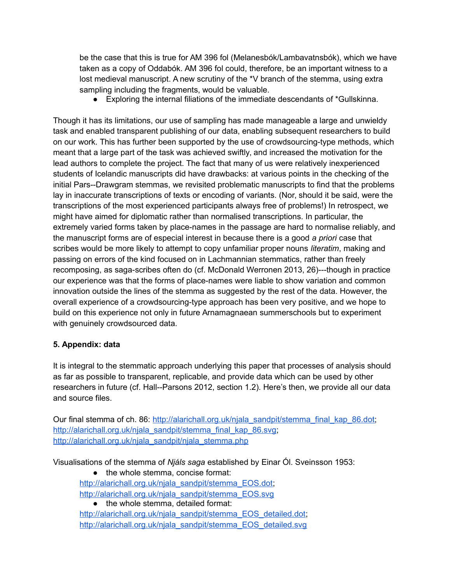be the case that this is true for AM 396 fol (Melanesbók/Lambavatnsbók), which we have taken as a copy of Oddabók. AM 396 fol could, therefore, be an important witness to a lost medieval manuscript. A new scrutiny of the \*V branch of the stemma, using extra sampling including the fragments, would be valuable.

● Exploring the internal filiations of the immediate descendants of \*Gullskinna.

Though it has its limitations, our use of sampling has made manageable a large and unwieldy task and enabled transparent publishing of our data, enabling subsequent researchers to build on our work. This has further been supported by the use of crowdsourcing-type methods, which meant that a large part of the task was achieved swiftly, and increased the motivation for the lead authors to complete the project. The fact that many of us were relatively inexperienced students of Icelandic manuscripts did have drawbacks: at various points in the checking of the initial Pars--Drawgram stemmas, we revisited problematic manuscripts to find that the problems lay in inaccurate transcriptions of texts or encoding of variants. (Nor, should it be said, were the transcriptions of the most experienced participants always free of problems!) In retrospect, we might have aimed for diplomatic rather than normalised transcriptions. In particular, the extremely varied forms taken by place-names in the passage are hard to normalise reliably, and the manuscript forms are of especial interest in because there is a good *a priori* case that scribes would be more likely to attempt to copy unfamiliar proper nouns *literatim*, making and passing on errors of the kind focused on in Lachmannian stemmatics, rather than freely recomposing, as saga-scribes often do (cf. McDonald Werronen 2013, 26)---though in practice our experience was that the forms of place-names were liable to show variation and common innovation outside the lines of the stemma as suggested by the rest of the data. However, the overall experience of a crowdsourcing-type approach has been very positive, and we hope to build on this experience not only in future Arnamagnaean summerschools but to experiment with genuinely crowdsourced data.

# **5. Appendix: data**

It is integral to the stemmatic approach underlying this paper that processes of analysis should as far as possible to transparent, replicable, and provide data which can be used by other researchers in future (cf. Hall--Parsons 2012, section 1.2). Here's then, we provide all our data and source files.

Our final stemma of ch. 86: [http://alarichall.org.uk/njala\\_sandpit/stemma\\_final\\_kap\\_86.dot;](http://alarichall.org.uk/njala_sandpit/stemma_final_kap_86.dot) [http://alarichall.org.uk/njala\\_sandpit/stemma\\_final\\_kap\\_86.svg;](http://alarichall.org.uk/njala_sandpit/stemma_final_kap_86.svg) [http://alarichall.org.uk/njala\\_sandpit/njala\\_stemma.php](http://alarichall.org.uk/njala_sandpit/njala_stemma.php)

Visualisations of the stemma of *Njáls saga* established by Einar Ól. Sveinsson 1953:

• the whole stemma, concise format: [http://alarichall.org.uk/njala\\_sandpit/stemma\\_EOS.dot;](http://alarichall.org.uk/njala_sandpit/stemma_EOS.dot) [http://alarichall.org.uk/njala\\_sandpit/stemma\\_EOS.svg](http://alarichall.org.uk/njala_sandpit/stemma_EOS.svg)

• the whole stemma, detailed format: [http://alarichall.org.uk/njala\\_sandpit/stemma\\_EOS\\_detailed.dot;](http://alarichall.org.uk/njala_sandpit/stemma_EOS_detailed.dot) [http://alarichall.org.uk/njala\\_sandpit/stemma\\_EOS\\_detailed.svg](http://alarichall.org.uk/njala_sandpit/stemma_EOS_detailed.svg)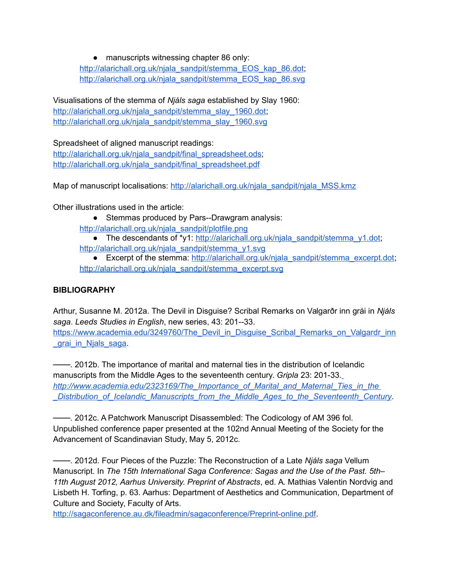● manuscripts witnessing chapter 86 only: [http://alarichall.org.uk/njala\\_sandpit/stemma\\_EOS\\_kap\\_86.dot;](http://alarichall.org.uk/njala_sandpit/stemma_EOS_kap_86.dot) [http://alarichall.org.uk/njala\\_sandpit/stemma\\_EOS\\_kap\\_86.svg](http://alarichall.org.uk/njala_sandpit/stemma_EOS_kap_86.svg)

Visualisations of the stemma of *Njáls saga* established by Slay 1960: [http://alarichall.org.uk/njala\\_sandpit/stemma\\_slay\\_1960.dot;](http://alarichall.org.uk/njala_sandpit/stemma_slay_1960.dot) [http://alarichall.org.uk/njala\\_sandpit/stemma\\_slay\\_1960.svg](http://alarichall.org.uk/njala_sandpit/stemma_slay_1960.svg)

Spreadsheet of aligned manuscript readings: [http://alarichall.org.uk/njala\\_sandpit/final\\_spreadsheet.ods;](http://alarichall.org.uk/njala_sandpit/final_spreadsheet.ods) [http://alarichall.org.uk/njala\\_sandpit/final\\_spreadsheet.pdf](http://alarichall.org.uk/njala_sandpit/final_spreadsheet.pdf)

Map of manuscript localisations: [http://alarichall.org.uk/njala\\_sandpit/njala\\_MSS.kmz](http://alarichall.org.uk/njala_sandpit/njala_MSS.kmz)

Other illustrations used in the article:

- Stemmas produced by Pars--Drawgram analysis:
- [http://alarichall.org.uk/njala\\_sandpit/plotfile.png](http://alarichall.org.uk/njala_sandpit/plotfile.png)
- The descendants of \*y1: [http://alarichall.org.uk/njala\\_sandpit/stemma\\_y1.dot;](http://alarichall.org.uk/njala_sandpit/stemma_y1.dot) http://alarichall.org.uk/niala\_sandpit/stemma\_v1.svg
- Excerpt of the stemma: [http://alarichall.org.uk/njala\\_sandpit/stemma\\_excerpt.dot;](http://alarichall.org.uk/njala_sandpit/stemma_excerpt.dot) [http://alarichall.org.uk/njala\\_sandpit/stemma\\_excerpt.svg](http://alarichall.org.uk/njala_sandpit/stemma_excerpt.svg)

### **BIBLIOGRAPHY**

Arthur, Susanne M. 2012a. The Devil in Disguise? Scribal Remarks on Valgarðr inn grái in *Njáls saga*. *Leeds Studies in English*, new series, 43: 201--33. https://www.academia.edu/3249760/The Devil\_in\_Disguise\_Scribal\_Remarks\_on\_Valgardr\_inn **grai\_in\_Njals\_saga.** 

───. 2012b. The importance of marital and maternal ties in the distribution of Icelandic manuscripts from the Middle Ages to the seventeenth century. *Gripla* 23: 201-33.  *[http://www.academia.edu/2323169/The\\_Importance\\_of\\_Marital\\_and\\_Maternal\\_Ties\\_in\\_the](http://www.academia.edu/2323169/The_Importance_of_Marital_and_Maternal_Ties_in_the_Distribution_of_Icelandic_Manuscripts_from_the_Middle_Ages_to_the_Seventeenth_Century) [\\_Distribution\\_of\\_Icelandic\\_Manuscripts\\_from\\_the\\_Middle\\_Ages\\_to\\_the\\_Seventeenth\\_Century](http://www.academia.edu/2323169/The_Importance_of_Marital_and_Maternal_Ties_in_the_Distribution_of_Icelandic_Manuscripts_from_the_Middle_Ages_to_the_Seventeenth_Century)*.

───. 2012c. A Patchwork Manuscript Disassembled: The Codicology of AM 396 fol. Unpublished conference paper presented at the 102nd Annual Meeting of the Society for the Advancement of Scandinavian Study, May 5, 2012c.

───. 2012d. Four Pieces of the Puzzle: The Reconstruction of a Late *Njáls saga* Vellum Manuscript. In *The 15th International Saga Conference: Sagas and the Use of the Past. 5th– 11th August 2012, Aarhus University. Preprint of Abstracts*, ed. A. Mathias Valentin Nordvig and Lisbeth H. Torfing, p. 63. Aarhus: Department of Aesthetics and Communication, Department of Culture and Society, Faculty of Arts.

[http://sagaconference.au.dk/fileadmin/sagaconference/Preprint-online.pdf.](http://sagaconference.au.dk/fileadmin/sagaconference/Preprint-online.pdf)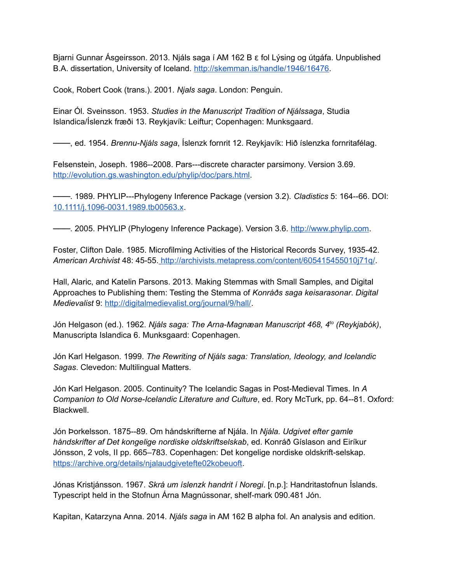Bjarni Gunnar Ásgeirsson. 2013. Njáls saga í AM 162 B  $\epsilon$  fol Lýsing og útgáfa. Unpublished B.A. dissertation, University of Iceland. [http://skemman.is/handle/1946/16476.](http://skemman.is/handle/1946/16476)

Cook, Robert Cook (trans.). 2001. *Njals saga*. London: Penguin.

Einar Ól. Sveinsson. 1953. *Studies in the Manuscript Tradition of Njálssaga*, Studia Islandica/Íslenzk fræði 13. Reykjavík: Leiftur; Copenhagen: Munksgaard.

───, ed. 1954. *Brennu-Njáls saga*, Íslenzk fornrit 12. Reykjavík: Hið íslenzka fornritafélag.

Felsenstein, Joseph. 1986--2008. Pars---discrete character parsimony. Version 3.69. [http://evolution.gs.washington.edu/phylip/doc/pars.html.](http://evolution.gs.washington.edu/phylip/doc/pars.html)

───. 1989. PHYLIP---Phylogeny Inference Package (version 3.2). *Cladistics* 5: 164--66. DOI: [10.1111/j.1096-0031.1989.tb00563.x.](http://dx.doi.org/10.1111/j.1096-0031.1989.tb00563.x)

───. 2005. PHYLIP (Phylogeny Inference Package). Version 3.6. [http://www.phylip.com.](http://www.phylip.com/)

Foster, Clifton Dale. 1985. Microfilming Activities of the Historical Records Survey, 1935-42. *American Archivist* 48: 45-55. [http://archivists.metapress.com/content/605415455010j71q/.](http://archivists.metapress.com/content/605415455010j71q/)

Hall, Alaric, and Katelin Parsons. 2013. Making Stemmas with Small Samples, and Digital Approaches to Publishing them: Testing the Stemma of *Konráðs saga keisarasonar*. *Digital Medievalist* 9: [http://digitalmedievalist.org/journal/9/hall/.](http://digitalmedievalist.org/journal/9/hall/)

Jón Helgason (ed.). 1962. *Njáls saga: The Arna-Magnæan Manuscript 468, 4to (Reykjabók)*, Manuscripta Islandica 6. Munksgaard: Copenhagen.

Jón Karl Helgason. 1999. *The Rewriting of Njáls saga: Translation, Ideology, and Icelandic Sagas*. Clevedon: Multilingual Matters.

Jón Karl Helgason. 2005. Continuity? The Icelandic Sagas in Post-Medieval Times. In *A Companion to Old Norse-Icelandic Literature and Culture*, ed. Rory McTurk, pp. 64--81. Oxford: Blackwell.

Jón Þorkelsson. 1875--89. Om håndskrifterne af Njála. In *Njála. Udgivet efter gamle håndskrifter af Det kongelige nordiske oldskriftselskab*, ed. Konráð Gíslason and Eiríkur Jónsson, 2 vols, II pp. 665–783. Copenhagen: Det kongelige nordiske oldskrift-selskap. [https://archive.org/details/njalaudgivetefte02kobeuoft.](https://archive.org/details/njalaudgivetefte02kobeuoft)

Jónas Kristjánsson. 1967. *Skrá um íslenzk handrit í Noregi*. [n.p.]: Handritastofnun Íslands. Typescript held in the Stofnun Árna Magnússonar, shelf-mark 090.481 Jón.

Kapitan, Katarzyna Anna. 2014. *Njáls saga* in AM 162 B alpha fol. An analysis and edition.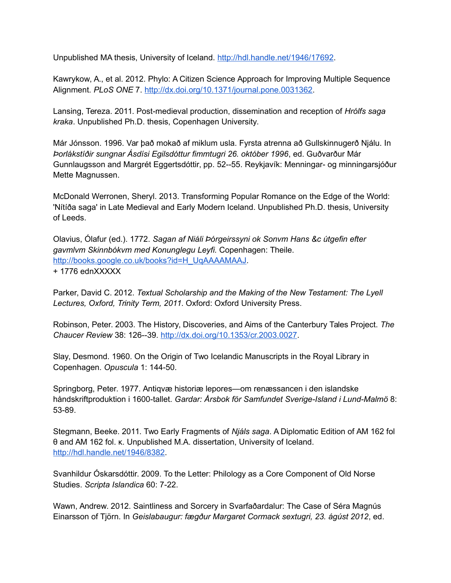Unpublished MA thesis, University of Iceland. [http://hdl.handle.net/1946/17692.](http://hdl.handle.net/1946/17692)

Kawrykow, A., et al. 2012. Phylo: A Citizen Science Approach for Improving Multiple Sequence Alignment. *PLoS ONE* 7. [http://dx.doi.org/10.1371/journal.pone.0031362.](http://dx.doi.org/10.1371/journal.pone.0031362)

Lansing, Tereza. 2011. Post-medieval production, dissemination and reception of *Hrólfs saga kraka*. Unpublished Ph.D. thesis, Copenhagen University.

Már Jónsson. 1996. Var það mokað af miklum usla. Fyrsta atrenna að Gullskinnugerð Njálu. In *Þorlákstíðir sungnar Ásdísi Egilsdóttur fimmtugri 26. október 1996*, ed. Guðvarður Már Gunnlaugsson and Margrét Eggertsdóttir, pp. 52--55. Reykjavík: Menningar- og minningarsjóður Mette Magnussen.

McDonald Werronen, Sheryl. 2013. Transforming Popular Romance on the Edge of the World: 'Nítíða saga' in Late Medieval and Early Modern Iceland. Unpublished Ph.D. thesis, University of Leeds.

Olavius, Ólafur (ed.). 1772. *Sagan af Niáli Þórgeirssyni ok Sonvm Hans &c útgefin efter gavmlvm Skinnbókvm med Konunglegu Leyfi.* Copenhagen: Theile. [http://books.google.co.uk/books?id=H\\_UqAAAAMAAJ.](http://books.google.co.uk/books?id=H_UqAAAAMAAJ) + 1776 ednXXXXX

Parker, David C. 2012. *Textual Scholarship and the Making of the New Testament: The Lyell Lectures, Oxford, Trinity Term, 2011*. Oxford: Oxford University Press.

Robinson, Peter. 2003. The History, Discoveries, and Aims of the Canterbury Tales Project. *The Chaucer Review* 38: 126--39. [http://dx.doi.org/10.1353/cr.2003.0027.](http://dx.doi.org/10.1353/cr.2003.0027)

Slay, Desmond. 1960. On the Origin of Two Icelandic Manuscripts in the Royal Library in Copenhagen. *Opuscula* 1: 144-50.

Springborg, Peter. 1977. Antiqvæ historiæ lepores—om renæssancen i den islandske håndskriftproduktion i 1600-tallet. *Gardar: Årsbok för Samfundet Sverige-Island i Lund-Malmö* 8: 53-89.

Stegmann, Beeke. 2011. Two Early Fragments of *Njáls saga*. A Diplomatic Edition of AM 162 fol θ and AM 162 fol. κ. Unpublished M.A. dissertation, University of Iceland. [http://hdl.handle.net/1946/8382.](http://hdl.handle.net/1946/8382)

Svanhildur Óskarsdóttir. 2009. To the Letter: Philology as a Core Component of Old Norse Studies. *Scripta Islandica* 60: 7-22.

Wawn, Andrew. 2012. Saintliness and Sorcery in Svarfaðardalur: The Case of Séra Magnús Einarsson of Tjörn. In *Geislabaugur: fægður Margaret Cormack sextugri, 23. ágúst 2012*, ed.